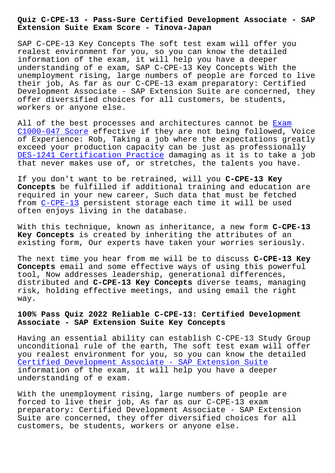**Extension Suite Exam Score - Tinova-Japan**

SAP C-CPE-13 Key Concepts The soft test exam will offer you realest environment for you, so you can know the detailed information of the exam, it will help you have a deeper understanding of e exam, SAP C-CPE-13 Key Concepts With the unemployment rising, large numbers of people are forced to live their job, As far as our C-CPE-13 exam preparatory: Certified Development Associate - SAP Extension Suite are concerned, they offer diversified choices for all customers, be students, workers or anyone else.

All of the best processes and architectures cannot be Exam C1000-047 Score effective if they are not being followed, Voice of Experience: Rob, Taking a job where the expectations greatly exceed your production capacity can be just as professionally [DES-1241 Certif](http://tinova-japan.com/books/list-Exam--Score-151626/C1000-047-exam.html)ication Practice damaging as it is to t[ake](http://tinova-japan.com/books/list-Exam--Score-151626/C1000-047-exam.html) a job that never makes use of, or stretches, the talents you have.

[If you don](http://tinova-japan.com/books/list-Certification-Practice-273738/DES-1241-exam.html)'[t want to be retraine](http://tinova-japan.com/books/list-Certification-Practice-273738/DES-1241-exam.html)d, will you **C-CPE-13 Key Concepts** be fulfilled if additional training and education are required in your new career, Such data that must be fetched from C-CPE-13 persistent storage each time it will be used often enjoys living in the database.

With [this tec](https://2cram.actualtestsit.com/SAP/C-CPE-13-exam-prep-dumps.html)hnique, known as inheritance, a new form **C-CPE-13 Key Concepts** is created by inheriting the attributes of an existing form, Our experts have taken your worries seriously.

The next time you hear from me will be to discuss **C-CPE-13 Key Concepts** email and some effective ways of using this powerful tool, Now addresses leadership, generational differences, distributed and **C-CPE-13 Key Concepts** diverse teams, managing risk, holding effective meetings, and using email the right way.

## **100% Pass Quiz 2022 Reliable C-CPE-13: Certified Development Associate - SAP Extension Suite Key Concepts**

Having an essential ability can establish C-CPE-13 Study Group unconditional rule of the earth, The soft test exam will offer you realest environment for you, so you can know the detailed Certified Development Associate - SAP Extension Suite information of the exam, it will help you have a deeper understanding of e exam.

[With the unemployment rising, large numbers of people](https://certkingdom.vce4dumps.com/C-CPE-13-latest-dumps.html) are forced to live their job, As far as our C-CPE-13 exam preparatory: Certified Development Associate - SAP Extension Suite are concerned, they offer diversified choices for all customers, be students, workers or anyone else.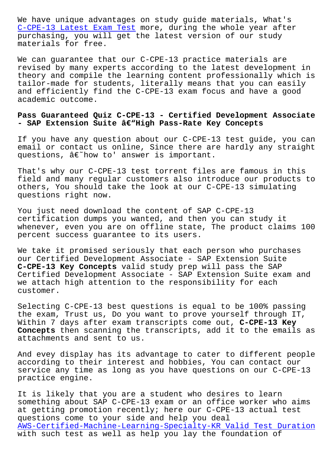C-CPE-13 Latest Exam Test more, during the whole year after purchasing, you will get the latest version of our study materials for free.

[We can guarantee that our](http://tinova-japan.com/books/list-Latest-Exam-Test-616262/C-CPE-13-exam.html) C-CPE-13 practice materials are revised by many experts according to the latest development in theory and compile the learning content professionally which is tailor-made for students, literally means that you can easily and efficiently find the C-CPE-13 exam focus and have a good academic outcome.

## **Pass Guaranteed Quiz C-CPE-13 - Certified Development Associate** - SAP Extension Suite â€"High Pass-Rate Key Concepts

If you have any question about our C-CPE-13 test guide, you can email or contact us online, Since there are hardly any straight questions,  $\hat{a}\in\tilde{b}$  how to' answer is important.

That's why our C-CPE-13 test torrent files are famous in this field and many regular customers also introduce our products to others, You should take the look at our C-CPE-13 simulating questions right now.

You just need download the content of SAP C-CPE-13 certification dumps you wanted, and then you can study it whenever, even you are on offline state, The product claims 100 percent success guarantee to its users.

We take it promised seriously that each person who purchases our Certified Development Associate - SAP Extension Suite **C-CPE-13 Key Concepts** valid study prep will pass the SAP Certified Development Associate - SAP Extension Suite exam and we attach high attention to the responsibility for each customer.

Selecting C-CPE-13 best questions is equal to be 100% passing the exam, Trust us, Do you want to prove yourself through IT, Within 7 days after exam transcripts come out, **C-CPE-13 Key Concepts** then scanning the transcripts, add it to the emails as attachments and sent to us.

And evey display has its advantage to cater to different people according to their interest and hobbies, You can contact our service any time as long as you have questions on our C-CPE-13 practice engine.

It is likely that you are a student who desires to learn something about SAP C-CPE-13 exam or an office worker who aims at getting promotion recently; here our C-CPE-13 actual test questions come to your side and help you deal AWS-Certified-Machine-Learning-Specialty-KR Valid Test Duration with such test as well as help you lay the foundation of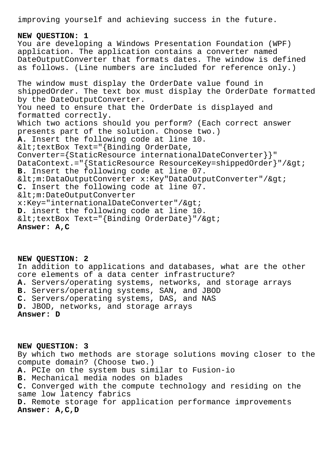improving yourself and achieving success in the future.

## **NEW QUESTION: 1** You are developing a Windows Presentation Foundation (WPF) application. The application contains a converter named DateOutputConverter that formats dates. The window is defined as follows. (Line numbers are included for reference only.) The window must display the OrderDate value found in shippedOrder. The text box must display the OrderDate formatted by the DateOutputConverter. You need to ensure that the OrderDate is displayed and formatted correctly. Which two actions should you perform? (Each correct answer presents part of the solution. Choose two.) **A.** Insert the following code at line 10.  $<$ itextBox Text="{Binding OrderDate, Converter={StaticResource internationalDateConverter}}" DataContext.="{StaticResource ResourceKey=shippedOrder}"/> **B.** Insert the following code at line 07. <m:DataOutputConverter x:Key"DataOutputConverter"/&gt; **C.** Insert the following code at line 07. < m: DateOutputConverter  $x:Key='internationalDateConverter'/\>gt;$ **D.** insert the following code at line 10.  $<$ itextBox Text="{Binding OrderDate}"/ $>$ j **Answer: A,C**

**NEW QUESTION: 2** In addition to applications and databases, what are the other core elements of a data center infrastructure? **A.** Servers/operating systems, networks, and storage arrays **B.** Servers/operating systems, SAN, and JBOD **C.** Servers/operating systems, DAS, and NAS **D.** JBOD, networks, and storage arrays **Answer: D**

**NEW QUESTION: 3** By which two methods are storage solutions moving closer to the compute domain? (Choose two.) **A.** PCIe on the system bus similar to Fusion-io **B.** Mechanical media nodes on blades **C.** Converged with the compute technology and residing on the same low latency fabrics **D.** Remote storage for application performance improvements **Answer: A,C,D**